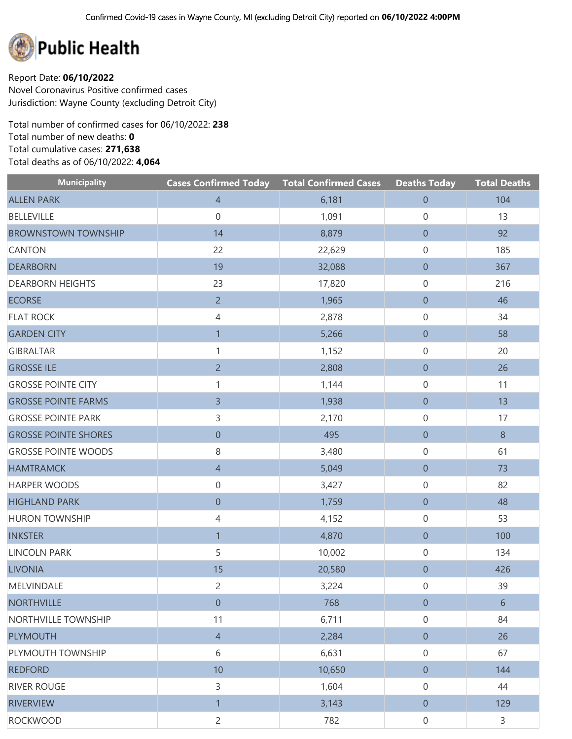

Report Date: **06/10/2022** Novel Coronavirus Positive confirmed cases Jurisdiction: Wayne County (excluding Detroit City)

Total number of confirmed cases for 06/10/2022: **238** Total number of new deaths: **0** Total cumulative cases: **271,638** Total deaths as of 06/10/2022: **4,064**

| <b>Municipality</b>         | <b>Cases Confirmed Today Total Confirmed Cases</b> |        | <b>Deaths Today</b> | <b>Total Deaths</b> |
|-----------------------------|----------------------------------------------------|--------|---------------------|---------------------|
| <b>ALLEN PARK</b>           | $\overline{4}$                                     | 6,181  | $\boldsymbol{0}$    | 104                 |
| <b>BELLEVILLE</b>           | $\boldsymbol{0}$                                   | 1,091  | $\mathbf 0$         | 13                  |
| <b>BROWNSTOWN TOWNSHIP</b>  | 14                                                 | 8,879  | $\overline{0}$      | 92                  |
| CANTON                      | 22                                                 | 22,629 | 0                   | 185                 |
| <b>DEARBORN</b>             | 19                                                 | 32,088 | $\overline{0}$      | 367                 |
| <b>DEARBORN HEIGHTS</b>     | 23                                                 | 17,820 | 0                   | 216                 |
| <b>ECORSE</b>               | $\overline{2}$                                     | 1,965  | $\boldsymbol{0}$    | 46                  |
| <b>FLAT ROCK</b>            | 4                                                  | 2,878  | 0                   | 34                  |
| <b>GARDEN CITY</b>          | $\mathbf{1}$                                       | 5,266  | $\boldsymbol{0}$    | 58                  |
| <b>GIBRALTAR</b>            | 1                                                  | 1,152  | 0                   | 20                  |
| <b>GROSSE ILE</b>           | $\overline{2}$                                     | 2,808  | $\overline{0}$      | 26                  |
| <b>GROSSE POINTE CITY</b>   | 1                                                  | 1,144  | 0                   | 11                  |
| <b>GROSSE POINTE FARMS</b>  | $\overline{3}$                                     | 1,938  | $\boldsymbol{0}$    | 13                  |
| <b>GROSSE POINTE PARK</b>   | 3                                                  | 2,170  | 0                   | 17                  |
| <b>GROSSE POINTE SHORES</b> | $\boldsymbol{0}$                                   | 495    | $\overline{0}$      | $8\phantom{1}$      |
| <b>GROSSE POINTE WOODS</b>  | 8                                                  | 3,480  | 0                   | 61                  |
| <b>HAMTRAMCK</b>            | $\overline{4}$                                     | 5,049  | $\overline{0}$      | 73                  |
| <b>HARPER WOODS</b>         | $\boldsymbol{0}$                                   | 3,427  | 0                   | 82                  |
| <b>HIGHLAND PARK</b>        | $\boldsymbol{0}$                                   | 1,759  | $\boldsymbol{0}$    | 48                  |
| <b>HURON TOWNSHIP</b>       | 4                                                  | 4,152  | 0                   | 53                  |
| <b>INKSTER</b>              | $\overline{1}$                                     | 4,870  | $\boldsymbol{0}$    | 100                 |
| <b>LINCOLN PARK</b>         | 5                                                  | 10,002 | 0                   | 134                 |
| <b>LIVONIA</b>              | 15                                                 | 20,580 | $\boldsymbol{0}$    | 426                 |
| MELVINDALE                  | $\overline{c}$                                     | 3,224  | 0                   | 39                  |
| <b>NORTHVILLE</b>           | $\boldsymbol{0}$                                   | 768    | $\boldsymbol{0}$    | $6\,$               |
| NORTHVILLE TOWNSHIP         | 11                                                 | 6,711  | $\mathsf{O}\xspace$ | 84                  |
| <b>PLYMOUTH</b>             | $\overline{4}$                                     | 2,284  | $\boldsymbol{0}$    | 26                  |
| PLYMOUTH TOWNSHIP           | 6                                                  | 6,631  | $\mathbf 0$         | 67                  |
| <b>REDFORD</b>              | 10                                                 | 10,650 | $\overline{0}$      | 144                 |
| <b>RIVER ROUGE</b>          | 3                                                  | 1,604  | $\mathsf{O}\xspace$ | 44                  |
| <b>RIVERVIEW</b>            | $\mathbf{1}$                                       | 3,143  | $\overline{0}$      | 129                 |
| <b>ROCKWOOD</b>             | $\overline{2}$                                     | 782    | $\mathsf{O}\xspace$ | $\mathsf{3}$        |